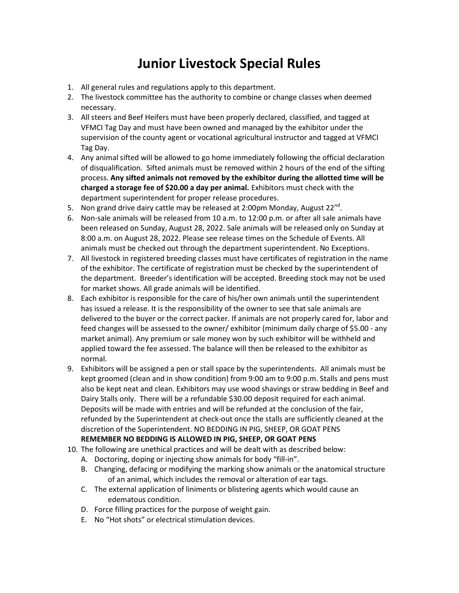## Junior Livestock Special Rules

- 1. All general rules and regulations apply to this department.
- 2. The livestock committee has the authority to combine or change classes when deemed necessary.
- 3. All steers and Beef Heifers must have been properly declared, classified, and tagged at VFMCI Tag Day and must have been owned and managed by the exhibitor under the supervision of the county agent or vocational agricultural instructor and tagged at VFMCI Tag Day.
- 4. Any animal sifted will be allowed to go home immediately following the official declaration of disqualification. Sifted animals must be removed within 2 hours of the end of the sifting process. Any sifted animals not removed by the exhibitor during the allotted time will be charged a storage fee of \$20.00 a day per animal. Exhibitors must check with the department superintendent for proper release procedures.
- 5. Non grand drive dairy cattle may be released at 2:00pm Monday, August 22 $^{\text{nd}}$ .
- 6. Non-sale animals will be released from 10 a.m. to 12:00 p.m. or after all sale animals have been released on Sunday, August 28, 2022. Sale animals will be released only on Sunday at 8:00 a.m. on August 28, 2022. Please see release times on the Schedule of Events. All animals must be checked out through the department superintendent. No Exceptions.
- 7. All livestock in registered breeding classes must have certificates of registration in the name of the exhibitor. The certificate of registration must be checked by the superintendent of the department. Breeder's identification will be accepted. Breeding stock may not be used for market shows. All grade animals will be identified.
- 8. Each exhibitor is responsible for the care of his/her own animals until the superintendent has issued a release. It is the responsibility of the owner to see that sale animals are delivered to the buyer or the correct packer. If animals are not properly cared for, labor and feed changes will be assessed to the owner/ exhibitor (minimum daily charge of \$5.00 - any market animal). Any premium or sale money won by such exhibitor will be withheld and applied toward the fee assessed. The balance will then be released to the exhibitor as normal.
- 9. Exhibitors will be assigned a pen or stall space by the superintendents. All animals must be kept groomed (clean and in show condition) from 9:00 am to 9:00 p.m. Stalls and pens must also be kept neat and clean. Exhibitors may use wood shavings or straw bedding in Beef and Dairy Stalls only. There will be a refundable \$30.00 deposit required for each animal. Deposits will be made with entries and will be refunded at the conclusion of the fair, refunded by the Superintendent at check-out once the stalls are sufficiently cleaned at the discretion of the Superintendent. NO BEDDING IN PIG, SHEEP, OR GOAT PENS

## REMEMBER NO BEDDING IS ALLOWED IN PIG, SHEEP, OR GOAT PENS

- 10. The following are unethical practices and will be dealt with as described below:
	- A. Doctoring, doping or injecting show animals for body "fill-in".
	- B. Changing, defacing or modifying the marking show animals or the anatomical structure of an animal, which includes the removal or alteration of ear tags.
	- C. The external application of liniments or blistering agents which would cause an edematous condition.
	- D. Force filling practices for the purpose of weight gain.
	- E. No "Hot shots" or electrical stimulation devices.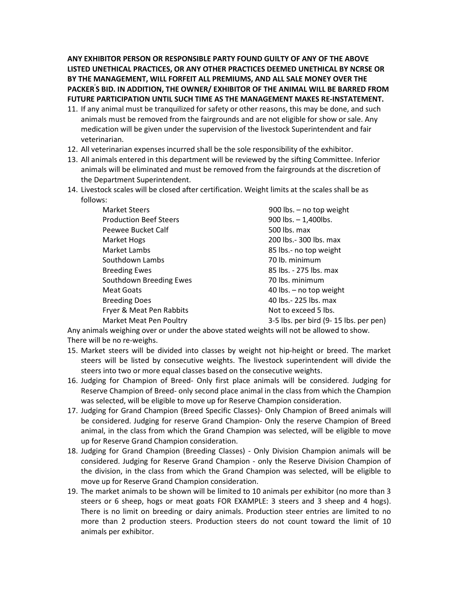ANY EXHIBITOR PERSON OR RESPONSIBLE PARTY FOUND GUILTY OF ANY OF THE ABOVE LISTED UNETHICAL PRACTICES, OR ANY OTHER PRACTICES DEEMED UNETHICAL BY NCRSE OR BY THE MANAGEMENT, WILL FORFEIT ALL PREMIUMS, AND ALL SALE MONEY OVER THE PACKER'S BID. IN ADDITION, THE OWNER/ EXHIBITOR OF THE ANIMAL WILL BE BARRED FROM FUTURE PARTICIPATION UNTIL SUCH TIME AS THE MANAGEMENT MAKES RE-INSTATEMENT.

- 11. If any animal must be tranquilized for safety or other reasons, this may be done, and such animals must be removed from the fairgrounds and are not eligible for show or sale. Any medication will be given under the supervision of the livestock Superintendent and fair veterinarian.
- 12. All veterinarian expenses incurred shall be the sole responsibility of the exhibitor.
- 13. All animals entered in this department will be reviewed by the sifting Committee. Inferior animals will be eliminated and must be removed from the fairgrounds at the discretion of the Department Superintendent.
- 14. Livestock scales will be closed after certification. Weight limits at the scales shall be as follows:

| <b>Market Steers</b>          | 900 lbs. - no top weight              |
|-------------------------------|---------------------------------------|
| <b>Production Beef Steers</b> | 900 lbs. $- 1,400$ lbs.               |
| Peewee Bucket Calf            | 500 lbs. max                          |
| Market Hogs                   | 200 lbs.- 300 lbs. max                |
| Market Lambs                  | 85 lbs.- no top weight                |
| Southdown Lambs               | 70 lb. minimum                        |
| <b>Breeding Ewes</b>          | 85 lbs. - 275 lbs. max                |
| Southdown Breeding Ewes       | 70 lbs. minimum                       |
| <b>Meat Goats</b>             | 40 lbs. - no top weight               |
| <b>Breeding Does</b>          | 40 lbs.- 225 lbs. max                 |
| Fryer & Meat Pen Rabbits      | Not to exceed 5 lbs.                  |
| Market Meat Pen Poultry       | 3-5 lbs. per bird (9-15 lbs. per pen) |

Any animals weighing over or under the above stated weights will not be allowed to show. There will be no re-weighs.

- 15. Market steers will be divided into classes by weight not hip-height or breed. The market steers will be listed by consecutive weights. The livestock superintendent will divide the steers into two or more equal classes based on the consecutive weights.
- 16. Judging for Champion of Breed- Only first place animals will be considered. Judging for Reserve Champion of Breed- only second place animal in the class from which the Champion was selected, will be eligible to move up for Reserve Champion consideration.
- 17. Judging for Grand Champion (Breed Specific Classes)- Only Champion of Breed animals will be considered. Judging for reserve Grand Champion- Only the reserve Champion of Breed animal, in the class from which the Grand Champion was selected, will be eligible to move up for Reserve Grand Champion consideration.
- 18. Judging for Grand Champion (Breeding Classes) Only Division Champion animals will be considered. Judging for Reserve Grand Champion - only the Reserve Division Champion of the division, in the class from which the Grand Champion was selected, will be eligible to move up for Reserve Grand Champion consideration.
- 19. The market animals to be shown will be limited to 10 animals per exhibitor (no more than 3 steers or 6 sheep, hogs or meat goats FOR EXAMPLE: 3 steers and 3 sheep and 4 hogs). There is no limit on breeding or dairy animals. Production steer entries are limited to no more than 2 production steers. Production steers do not count toward the limit of 10 animals per exhibitor.